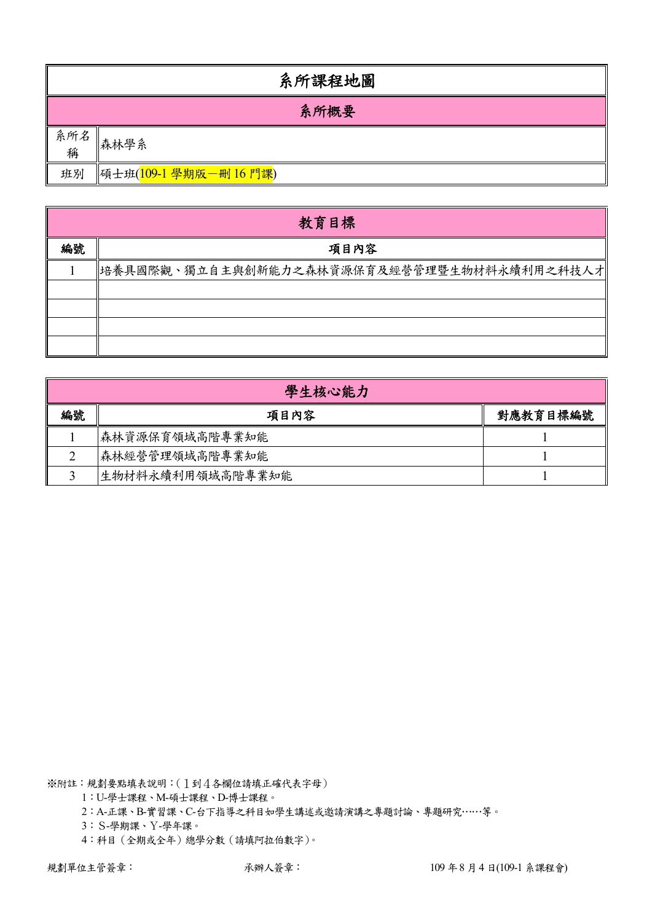|          | 系所課程地圖                 |  |  |  |  |  |  |  |
|----------|------------------------|--|--|--|--|--|--|--|
|          | 系所概要                   |  |  |  |  |  |  |  |
| 系所名<br>稱 | 森林學系                   |  |  |  |  |  |  |  |
| 班別       | 碩士班(109-1 學期版一刪 16 門課) |  |  |  |  |  |  |  |

|    | 教育目標                                       |
|----|--------------------------------------------|
| 編號 | 項目內容                                       |
|    | 培養具國際觀、獨立自主與創新能力之森林資源保育及經營管理暨生物材料永續利用之科技人才 |
|    |                                            |
|    |                                            |
|    |                                            |
|    |                                            |

|    | 學生核心能力           |          |  |  |  |  |  |  |  |
|----|------------------|----------|--|--|--|--|--|--|--|
| 編號 | 項目內容             | 對應教育目標編號 |  |  |  |  |  |  |  |
|    | 森林資源保育領域高階專業知能   |          |  |  |  |  |  |  |  |
|    | 森林經營管理領域高階專業知能   |          |  |  |  |  |  |  |  |
|    | 生物材料永續利用領域高階專業知能 |          |  |  |  |  |  |  |  |

1:U-學士課程、M-碩士課程、D-博士課程。

2:A-正課、B-實習課、C-台下指導之科目如學生講述或邀請演講之專題討論、專題研究……等。

3:S-學期課、Y-學年課。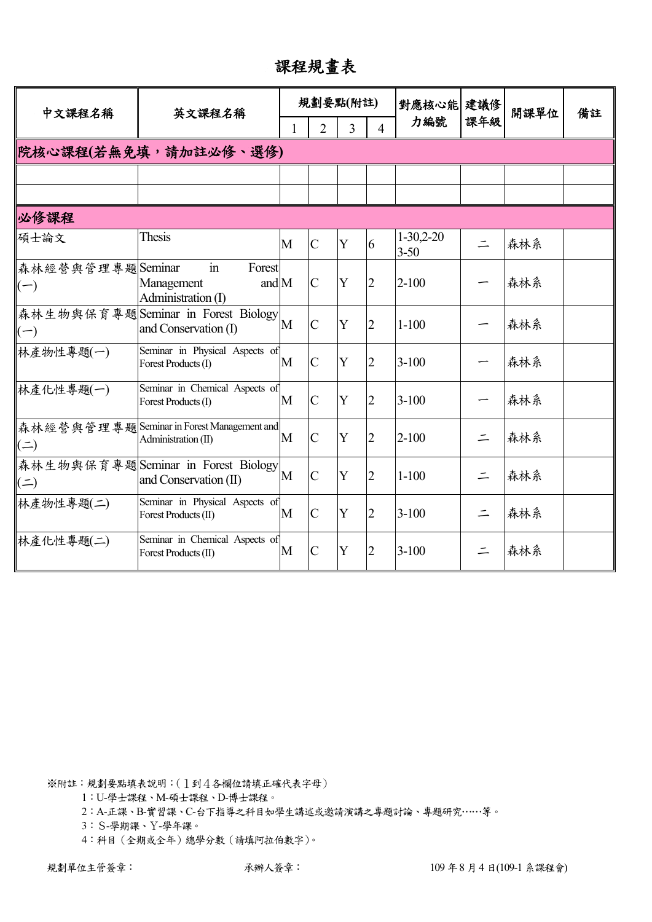課程規畫表

| 中文課程名稱                    | 英文課程名稱                                                                       |   |                | 規劃要點(附註) |                | 對應核心能 建議修               |          | 開課單位 | 備註 |
|---------------------------|------------------------------------------------------------------------------|---|----------------|----------|----------------|-------------------------|----------|------|----|
|                           |                                                                              |   | $\overline{2}$ | 3        | $\Delta$       | 力編號                     | 課年級      |      |    |
| 院核心課程(若無免填,請加註必修、選修)      |                                                                              |   |                |          |                |                         |          |      |    |
|                           |                                                                              |   |                |          |                |                         |          |      |    |
|                           |                                                                              |   |                |          |                |                         |          |      |    |
| 必修課程                      |                                                                              |   |                |          |                |                         |          |      |    |
| 碩士論文                      | Thesis                                                                       | M | $\mathcal{C}$  | Y        | 6              | $1-30,2-20$<br>$3 - 50$ | $\equiv$ | 森林系  |    |
| 森林經營與管理專題Seminar<br>$(-)$ | $\operatorname{in}$<br>Forest<br>and $M$<br>Management<br>Administration (I) |   | $\mathcal{C}$  | Y        | $\overline{2}$ | $2 - 100$               |          | 森林系  |    |
| $(-)$                     | 森林生物與保育專題Seminar in Forest Biology<br>and Conservation (I)                   | M | $\overline{C}$ | Y        | $\overline{2}$ | $1 - 100$               |          | 森林系  |    |
| 林產物性專題(一)                 | Seminar in Physical Aspects of<br>Forest Products (I)                        | M | $\mathbf C$    | Y        | $\overline{2}$ | $3 - 100$               |          | 森林系  |    |
| 林產化性專題(一)                 | Seminar in Chemical Aspects of<br>Forest Products (I)                        | M | $\overline{C}$ | Y        | $\overline{2}$ | $3 - 100$               |          | 森林系  |    |
| $($ $\Rightarrow$         | 森林經營與管理專題Seminar in Forest Management and<br>Administration (II)             | M | $\mathbf C$    | Y        | $\overline{2}$ | $2 - 100$               | $\equiv$ | 森林系  |    |
| $($ = $)$                 | 森林生物與保育專題Seminar in Forest Biology<br>and Conservation (II)                  | M | $\overline{C}$ | Y        | $\overline{2}$ | $1 - 100$               | $\equiv$ | 森林系  |    |
| 林產物性專題(二)                 | Seminar in Physical Aspects of<br>Forest Products (II)                       | M | $\overline{C}$ | Y        | $\overline{2}$ | $3 - 100$               | $\equiv$ | 森林系  |    |
| 林產化性專題(二)                 | Seminar in Chemical Aspects of<br>Forest Products (II)                       | M | $\overline{C}$ | Y        | $\overline{2}$ | $3 - 100$               |          | 森林系  |    |

1:U-學士課程、M-碩士課程、D-博士課程。

2:A-正課、B-實習課、C-台下指導之科目如學生講述或邀請演講之專題討論、專題研究……等。

3:S-學期課、Y-學年課。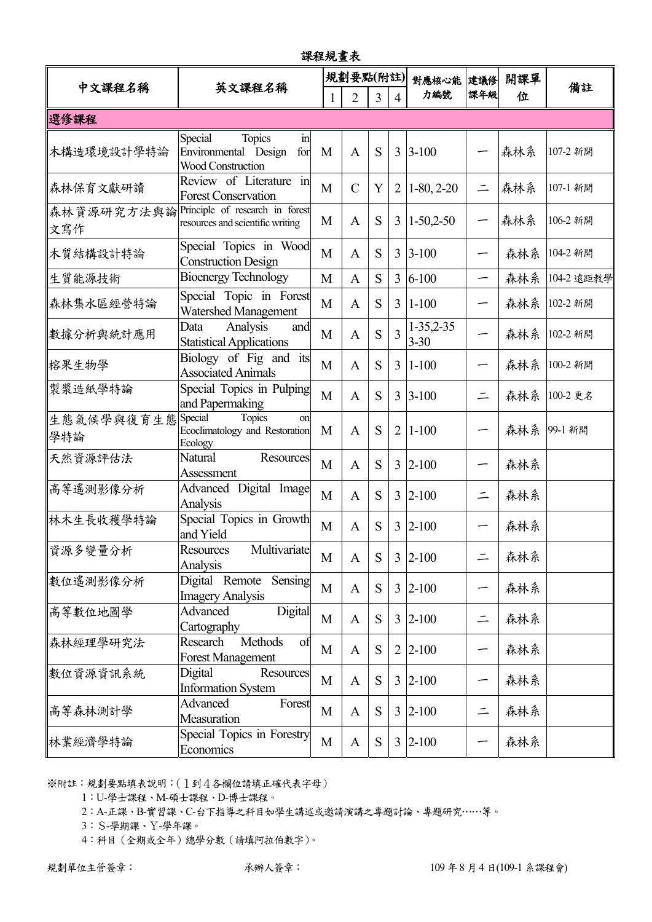| 課程規畫表             |                                                                                               |   |                |                |                |                              |          |     |            |  |
|-------------------|-----------------------------------------------------------------------------------------------|---|----------------|----------------|----------------|------------------------------|----------|-----|------------|--|
| 中文課程名稱            | 英文課程名稱                                                                                        |   | 規劃要點(附註)       |                |                | 對應核心能                        | 建議修      | 開課單 | 備註         |  |
|                   |                                                                                               |   | $\overline{2}$ | $\overline{3}$ | $\overline{4}$ | 力編號                          | 課年級      | 位   |            |  |
| 選修課程              |                                                                                               |   |                |                |                |                              |          |     |            |  |
| 木構造環境設計學特論        | Special<br><b>Topics</b><br>$\mathbf{in}$<br>Environmental Design<br>for<br>Wood Construction | M | A              | S              |                | $3 \, 3 - 100$               |          | 森林系 | 107-2 新開   |  |
| 森林保育文獻研讀          | Review of Literature in<br><b>Forest Conservation</b>                                         | M | $\mathsf{C}$   | Y              | $\overline{2}$ | $1-80, 2-20$                 | $\equiv$ | 森林系 | 107-1 新開   |  |
| 森林資源研究方法與論<br>文寫作 | Principle of research in forest<br>resources and scientific writing                           | M | A              | S              | 3              | $1-50,2-50$                  | ∽        | 森林系 | 106-2 新開   |  |
| 木質結構設計特論          | Special Topics in Wood<br><b>Construction Design</b>                                          | M | A              | S              | 3              | $3 - 100$                    | ∽        | 森林系 | 104-2 新開   |  |
| 生質能源技術            | <b>Bioenergy Technology</b>                                                                   | M | $\mathbf{A}$   | S              | 3              | $6 - 100$                    | —        | 森林系 | 104-2 遠距教學 |  |
| 森林集水區經營特論         | Special Topic in Forest<br><b>Watershed Management</b>                                        | M | A              | S              | 3              | $1 - 100$                    |          | 森林系 | 102-2 新開   |  |
| 數據分析與統計應用         | Analysis<br>Data<br>and<br><b>Statistical Applications</b>                                    | M | A              | S              | 3              | $1 - 35, 2 - 35$<br>$3 - 30$ |          | 森林系 | 102-2 新開   |  |
| 榕果生物學             | Biology of Fig and its<br><b>Associated Animals</b>                                           | M | A              | S              | 3              | $1-100$                      |          | 森林系 | 100-2 新開   |  |
| 製漿造紙學特論           | Special Topics in Pulping<br>and Papermaking                                                  | M | $\mathbf{A}$   | S              | 3              | $3 - 100$                    | $\equiv$ | 森林系 | 100-2 更名   |  |
| 生態氣候學與復育生態<br>學特論 | Special<br>Topics<br>on<br>Ecoclimatology and Restoration<br>Ecology                          | M | A              | S              | $\overline{2}$ | $1 - 100$                    |          | 森林系 | 99-1 新開    |  |
| 天然資源評估法           | Natural<br>Resources<br>Assessment                                                            | M | A              | S              |                | $3 \;  2 - 100$              |          | 森林系 |            |  |
| 高等遙測影像分析          | Advanced Digital Image<br>Analysis                                                            | M | A              | S              | 3              | $2 - 100$                    | $\equiv$ | 森林系 |            |  |
| 林木生長收穫學特論         | Special Topics in Growth<br>and Yield                                                         | M | A              | S              | 3              | $2 - 100$                    |          | 森林系 |            |  |
| 資源多變量分析           | Multivariate<br><b>Resources</b><br>Analysis                                                  | M | $\mathbf{A}$   | S              |                | $3 2-100$                    | $\equiv$ | 森林系 |            |  |
| 數位遙測影像分析          | Sensing<br>Digital Remote<br><b>Imagery Analysis</b>                                          | M | $\mathbf{A}$   | S              |                | $3 2-100$                    |          | 森林系 |            |  |
| 高等數位地圖學           | Advanced<br>Digital<br>Cartography                                                            | M | $\mathbf{A}$   | S              |                | $3 2-100$                    | $\equiv$ | 森林系 |            |  |
| 森林經理學研究法          | Research<br>Methods<br>of<br><b>Forest Management</b>                                         | M | $\mathbf{A}$   | S              | 2              | $2 - 100$                    | —        | 森林系 |            |  |
| 數位資源資訊系統          | Digital<br>Resources<br><b>Information System</b>                                             | M | $\mathbf{A}$   | S              |                | $3 2-100$                    |          | 森林系 |            |  |
| 高等森林測計學           | Advanced<br>Forest<br>Measuration                                                             | M | $\mathbf{A}$   | S              | $\overline{3}$ | $2 - 100$                    | $\equiv$ | 森林系 |            |  |
| 林業經濟學特論           | Special Topics in Forestry<br>Economics                                                       | M | $\mathbf{A}$   | ${\bf S}$      | 3              | $2 - 100$                    |          | 森林系 |            |  |

1:U-學士課程、M-碩士課程、D-博士課程。

2:A-正課、B-實習課、C-台下指導之科目如學生講述或邀請演講之專題討論、專題研究……等。

3:S-學期課、Y-學年課。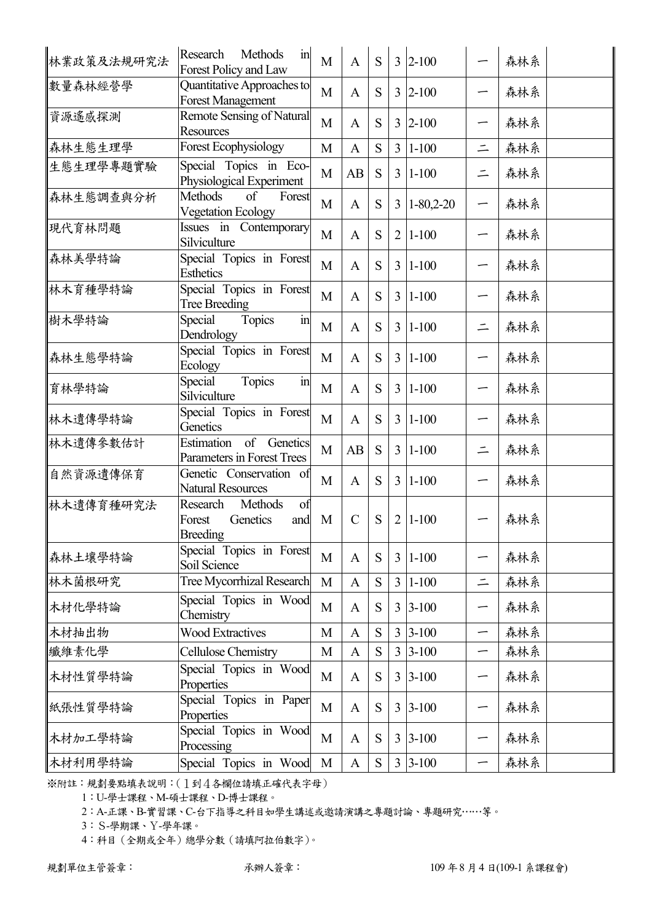| 林業政策及法規研究法 | Methods<br>Research<br>$\mathbf{in}$<br>Forest Policy and Law             | M            | $\mathbf{A}$  | S         |                | $3 \,  2 - 100$ |          | 森林系 |  |
|------------|---------------------------------------------------------------------------|--------------|---------------|-----------|----------------|-----------------|----------|-----|--|
| 數量森林經營學    | Quantitative Approaches to<br><b>Forest Management</b>                    | M            | $\mathbf{A}$  | S         | 3              | $2 - 100$       |          | 森林系 |  |
| 資源遙感探測     | <b>Remote Sensing of Natural</b><br><b>Resources</b>                      | M            | $\mathbf{A}$  | S         | 3              | $2 - 100$       | —        | 森林系 |  |
| 森林生態生理學    | Forest Ecophysiology                                                      | M            | $\mathbf{A}$  | S         | $\overline{3}$ | $1 - 100$       | $\equiv$ | 森林系 |  |
| 生態生理學專題實驗  | Special Topics in Eco-<br>Physiological Experiment                        | M            | AB            | S         | $\overline{3}$ | $1 - 100$       | $\equiv$ | 森林系 |  |
| 森林生態調查與分析  | <b>Methods</b><br>of<br>Forest<br><b>Vegetation Ecology</b>               | M            | A             | S         | $\overline{3}$ | $1 - 80,2 - 20$ | —        | 森林系 |  |
| 現代育林問題     | Issues in Contemporary<br>Silviculture                                    | M            | $\mathbf{A}$  | S         | $\overline{2}$ | $1 - 100$       |          | 森林系 |  |
| 森林美學特論     | Special Topics in Forest<br><b>Esthetics</b>                              | M            | $\mathbf{A}$  | S         | 3              | $1-100$         |          | 森林系 |  |
| 林木育種學特論    | Special Topics in Forest<br><b>Tree Breeding</b>                          | M            | $\mathbf{A}$  | S         | $\overline{3}$ | $1 - 100$       | —        | 森林系 |  |
| 樹木學特論      | $\overline{m}$<br>Topics<br>Special<br>Dendrology                         | M            | $\mathbf{A}$  | S         | $\overline{3}$ | $1 - 100$       | $\equiv$ | 森林系 |  |
| 森林生態學特論    | Special Topics in Forest<br>Ecology                                       | M            | $\mathbf{A}$  | S         | 3              | $1 - 100$       |          | 森林系 |  |
| 育林學特論      | Topics<br>Special<br>$\operatorname{in}$<br>Silviculture                  | M            | $\mathbf{A}$  | S         | $\overline{3}$ | $1 - 100$       | -        | 森林系 |  |
| 林木遺傳學特論    | Special Topics in Forest<br>Genetics                                      | M            | $\mathbf{A}$  | S         | 3              | $1 - 100$       |          | 森林系 |  |
| 林木遺傳參數估計   | Estimation<br>of Genetics<br>Parameters in Forest Trees                   | M            | AB            | S         | $\overline{3}$ | $1 - 100$       | $\equiv$ | 森林系 |  |
| 自然資源遺傳保育   | Genetic Conservation of<br><b>Natural Resources</b>                       | M            | $\mathbf{A}$  | S         | $\overline{3}$ | $1 - 100$       | ∽        | 森林系 |  |
| 林木遺傳育種研究法  | Methods<br>Research<br>of<br>Genetics<br>Forest<br>and<br><b>Breeding</b> | M            | $\mathcal{C}$ | S         | $\overline{2}$ | $1 - 100$       |          | 森林系 |  |
| 森林土壤學特論    | Special Topics in Forest<br>Soil Science                                  | M            | $\mathbf{A}$  | S         | 3              | $1 - 100$       | ∽        | 森林系 |  |
| 林木菌根研究     | Tree Mycorrhizal Research                                                 | $\mathbf{M}$ | $\mathbf{A}$  | ${\bf S}$ | $\overline{3}$ | $1 - 100$       | $\equiv$ | 森林系 |  |
| 木材化學特論     | Special Topics in Wood<br>Chemistry                                       | M            | $\mathbf{A}$  | S         | 3              | $3 - 100$       | ∽        | 森林系 |  |
| 木材抽出物      | <b>Wood Extractives</b>                                                   | M            | $\mathbf{A}$  | ${\bf S}$ | 3              | $3 - 100$       | —        | 森林系 |  |
| 纖維素化學      | Cellulose Chemistry                                                       | M            | $\mathbf{A}$  | ${\bf S}$ | $\overline{3}$ | $3 - 100$       | —        | 森林系 |  |
| 木材性質學特論    | Special Topics in Wood<br>Properties                                      | M            | A             | S         | 3              | $3 - 100$       | ∽        | 森林系 |  |
| 紙張性質學特論    | Special Topics in Paper<br>Properties                                     | M            | $\mathbf{A}$  | S         | 3              | $3 - 100$       | —        | 森林系 |  |
| 木材加工學特論    | Special Topics in Wood<br>Processing                                      | M            | $\mathbf{A}$  | S         | 3              | $3 - 100$       |          | 森林系 |  |
| 木材利用學特論    | Special Topics in Wood                                                    | M            | $\mathbf{A}$  | S         | $\overline{3}$ | $3 - 100$       | ∽        | 森林系 |  |

1:U-學士課程、M-碩士課程、D-博士課程。

2:A-正課、B-實習課、C-台下指導之科目如學生講述或邀請演講之專題討論、專題研究……等。

3:S-學期課、Y-學年課。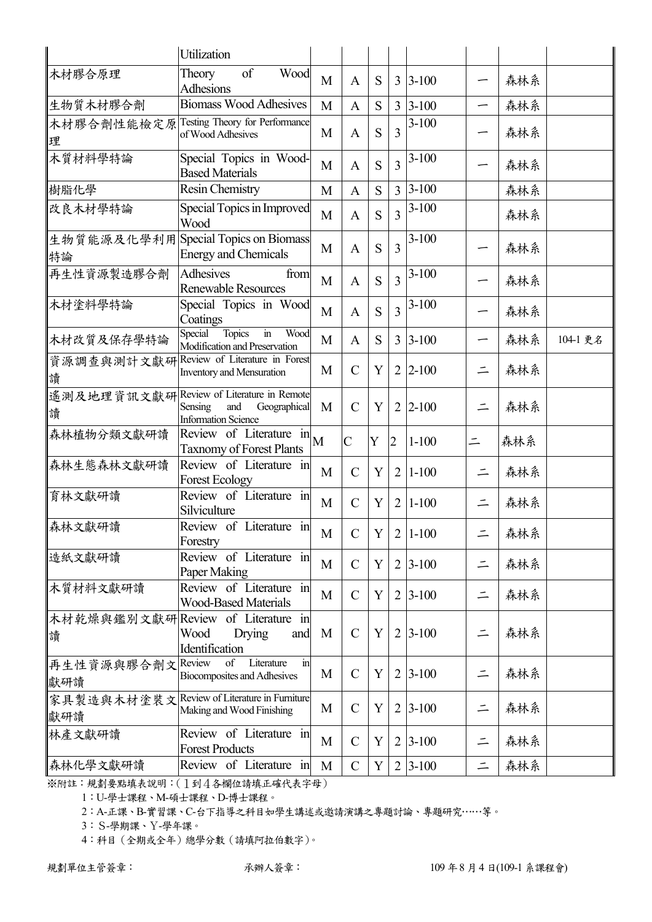|                         | Utilization                                                                                              |              |                |   |                |                  |          |     |          |
|-------------------------|----------------------------------------------------------------------------------------------------------|--------------|----------------|---|----------------|------------------|----------|-----|----------|
| 木材膠合原理                  | of<br>Wood<br>Theory<br><b>Adhesions</b>                                                                 | M            | $\mathbf{A}$   | S |                | $3 \,   3 - 100$ |          | 森林系 |          |
| 生物質木材膠合劑                | <b>Biomass Wood Adhesives</b>                                                                            | M            | $\mathbf{A}$   | S |                | $3 3-100$        |          | 森林系 |          |
| 木材膠合劑性能檢定原<br>理         | Testing Theory for Performance<br>of Wood Adhesives                                                      | M            | $\mathbf{A}$   | S | 3              | $3-100$          |          | 森林系 |          |
| 木質材料學特論                 | Special Topics in Wood-<br><b>Based Materials</b>                                                        | M            | A              | S | 3              | $3-100$          |          | 森林系 |          |
| 樹脂化學                    | <b>Resin Chemistry</b>                                                                                   | M            | $\mathbf{A}$   | S | 3              | $3 - 100$        |          | 森林系 |          |
| 改良木材學特論                 | Special Topics in Improved<br>Wood                                                                       | M            | A              | S | 3              | $3-100$          |          | 森林系 |          |
| 特論                      | 生物質能源及化學利用Special Topics on Biomass<br><b>Energy and Chemicals</b>                                       | M            | A              | S | 3              | $3-100$          |          | 森林系 |          |
| 再生性資源製造膠合劑              | <b>Adhesives</b><br>from<br><b>Renewable Resources</b>                                                   | M            | A              | S | 3              | $3-100$          |          | 森林系 |          |
| 木材塗料學特論                 | Special Topics in Wood<br>Coatings                                                                       | M            | A              | S | 3              | $3-100$          |          | 森林系 |          |
| 木材改質及保存學特論              | $\operatorname{in}$<br>Special<br><b>Topics</b><br>Wood<br>Modification and Preservation                 | M            | A              | S | $\overline{3}$ | $3 - 100$        |          | 森林系 | 104-1 更名 |
| 資源調查與測計文獻研<br>讀         | Review of Literature in Forest<br><b>Inventory and Mensuration</b>                                       | M            | $\mathbf C$    | Y | $\overline{2}$ | $2 - 100$        | $\equiv$ | 森林系 |          |
| 讀                       | 遙測及地理資訊文獻研Review of Literature in Remote<br>Sensing<br>and<br>Geographical<br><b>Information Science</b> | M            | $\mathcal{C}$  | Y | $\overline{2}$ | $ 2 - 100$       |          | 森林系 |          |
| 森林植物分類文獻研讀              | Review of Literature $\ln M$<br><b>Taxnomy of Forest Plants</b>                                          |              | $\overline{C}$ | Y | $\overline{2}$ | $1 - 100$        | $\equiv$ | 森林系 |          |
| 森林生態森林文獻研讀              | Review of Literature in<br><b>Forest Ecology</b>                                                         | M            | $\mathbf C$    | Y | $\overline{2}$ | $1 - 100$        | $\equiv$ | 森林系 |          |
| 育林文獻研讀                  | Review of Literature in<br>Silviculture                                                                  | M            | $\mathbf C$    | Y | $\overline{2}$ | $1 - 100$        | $\equiv$ | 森林系 |          |
| 森林文獻研讀                  | Review of Literature in<br>Forestry                                                                      | $\mathbf{M}$ | $\mathcal{C}$  | Y |                | $2 1-100$        |          | 森林系 |          |
| 造紙文獻研讀                  | Review of Literature in<br>Paper Making                                                                  | M            | $\mathcal{C}$  | Y | 2              | $3 - 100$        | $\equiv$ | 森林系 |          |
| 木質材料文獻研讀                | Review of Literature in<br><b>Wood-Based Materials</b>                                                   | M            | $\mathcal{C}$  | Y | $\overline{2}$ | $3 - 100$        | $\equiv$ | 森林系 |          |
| 讀                       | 木材乾燥與鑑別文獻研 Review of Literature in<br>Wood<br>Drying<br>and<br>Identification                            | M            | $\mathbf C$    | Y | $\overline{2}$ | $3 - 100$        | $\equiv$ | 森林系 |          |
| 再生性資源與膠合劑文Review<br>獻研讀 | of<br>Literature<br>$\operatorname{in}$<br><b>Biocomposites and Adhesives</b>                            | M            | $\mathbf C$    | Y | $\overline{2}$ | $3 - 100$        | $\equiv$ | 森林系 |          |
| 家具製造與木材塗裝文<br>獻研讀       | Review of Literature in Furniture<br>Making and Wood Finishing                                           | M            | $\mathcal{C}$  | Y | 2              | $3 - 100$        | $\equiv$ | 森林系 |          |
| 林產文獻研讀                  | Review of Literature in<br><b>Forest Products</b>                                                        | M            | $\mathcal{C}$  | Y | 2              | $3 - 100$        | $\equiv$ | 森林系 |          |
| 森林化學文獻研讀                | Review of Literature in                                                                                  | M            | $\mathsf{C}$   | Y |                | $2 3-100$        | $\equiv$ | 森林系 |          |

1:U-學士課程、M-碩士課程、D-博士課程。

2:A-正課、B-實習課、C-台下指導之科目如學生講述或邀請演講之專題討論、專題研究……等。

3:S-學期課、Y-學年課。